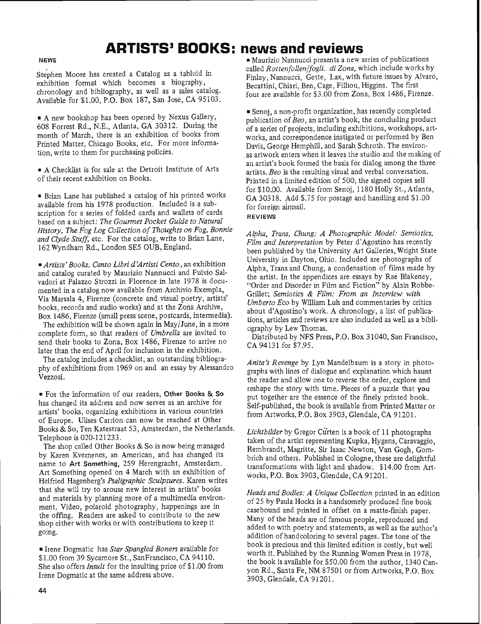## **ARTISTS3 BOOMS: news and reviews**

## **NEWS**

stephen Moore has created a Catalog as a tabloid in exhibition format which becomes a biography, chronology and bibliography, as well as a sales catalog. Available for \$1.00, P.O. Box 187, San Jose, CA 95103.

*8* A new bookshop has been opened by Nexus Gallery, 608 Forrest Rd., N.E., Atlanta, GA 30312. During the month of March, there is an exhibition of books from Printed Matter, Chicago Books, etc. For more information, write to them for purchasing policies.

A Checklist is for sale at the Detroit Institute of Arts of their recent exhibition on Books.

**s** Brian Lane has published a catalog of his printed works available from his 1978 production. Included is a subscription for a series of folded cards and wallets of cards based on a subject: The Gourmet Pocket Guide to Natural *History, The Fog Log Collection of Thoughts on Fog, Bonnie and Clyde Stuff,* etc. For the catalog, write to Brian Lane, 162 Wyndham Rd., London SE5 OUB, England.

*Artists'Books, Cento Libri d 'Artisti Cento,* an exhibition and catalog curated by Maurizio Nannucci and Fulvio Salvadori at Palazzo Strozzi in Florence in late 1978 is documented in a catalog now available from Archivio Exempla, Via Marsala 4, Firenze (concrete and visual poetry, artists' books, records and audio works) and at the Zona Archive, Box 1486, Firenze (small press scene, postcards, intermedia). The exhibition will be shown again in May/June, in a more

complete fom~, so that readers of *Umbrella* are invited to send their books to Zona, Box 1486, Firenze to arrive no later than the end of April for inclusion in the exhibition.

The catalog includes a checklist, an outstanding bibliography of exhibitions from 1969 on and an essay by Alessandro Vezzosi.

For the information of our readers, **Other Books** & **So**  has changed its address and now serves as an archive for artists' books, organizing exhibitions in various countries of Europe. Ulises Carrion can now be reached at Other Books& So, Ten Katestraat 53, Amsterdam, the Netherlands. Telephone is 020-121233.

The shop called Other Books & So is now being managed by Karen Kvemenes, an American, and has changed its name to **Art Something,** 259 Herengracht, Amsterdam. Art Something opened on 4 March with an exhibition of Helfried Hagenberg's *Psaligraphic Sculptures.* Karen writes that she will try to arouse new interest in artists' books and materials by planning more of a multimedia environment. Video, polaroid photography, happenings are in the offing. Readers are asked to contribute to the new shop either with works or with contributions to keep it going.

Irene Dogmatic has *Star Spangled Boners* available for \$1.00 from 39 Sycamore St., SanFrancisco, CA 941 10. She also offers *Insult* for the insulting price of \$1 .OO from Irene Dogmatic at the same address above.

**6** Maurizio Nannucci presents a new series of publications called *Rottenfollen/fogli.. di Zona*, which include works by Finlay, Nannucci, Gette, Lax, with future issues by Alvaro, Becattini, Chiari, Ben, Cage, Filliou, Higgins. The first four are available for \$3.00 from Zona, Box 1486, Firenze.

Senoj, a non-profit organization, has recently completed publication of *Beo,* an artist's book, the concluding product of a series of projects, including exhibitions, workshops, artworks, and correspondence instigated or performed by Ben Davis, George Hemphill, and Sarah Schroth. The environas artwork enters when it leaves the studio and the making of an artist's book formed the basis for dialog among the three artists. *Beo* is the resulting visual and verbal conversation. Printed in a limited edition of 500, the signed copies sell for \$10.00. Available from Senoj, 1180 Holly St., Atlanta, GA 303 18. Add \$.75 for postage and handling and \$1 .OO for foreign airmail. **REVIEWS** 

*Alpha, Trans, Chung: A Photographic Model: Semiotics, Film and Interpretation* by Peter d'Agostino has recently been published by the University Art Galleries, Wright State University in Dayton, Ohio. Included are photographs of Alpha, Trans and Chung, a condensation of films made by the artist. In the appendices are essays by Rae Blakeney, "Order and Disorder in Film and Fiction" by Alain Robbe-Grillet; *Semiotics* & *Film: From an Interview with Umberto Eco* by William Luh and commentaries by critics about d'Agastino's work. A chronology, a list of publications, articles and reviews are also included as well as a bibli-

ography by Lew Thomas. Distributed by NFS Press, P.O. Box 31040, San Francisco, CA 94131 for \$7.95.

*Anita's Revenge* by Lyn Mandelbaum is a story in photographs with lines of dialogue and explanation which haunt the reader and allow one to reverse the order, explore and reshape the story with time. Pieces of a puzzle that you put together are the essence of the finely printed book. Self-published, the book is available from Printed Matter or from Artworks, P.O. Box 3903, Glendale, CA 91201.

*Lichtbilder* by Gregor Curten is a book of 11 photographs taken of the artist representing Kupka, Hygens, Caravaggio, Rembrandt, Magritte, Sir Isaac Newton, Van Gogh, Gombrich and others. Published in Cologne, these are delightful transformations with light and shadow. \$14.00 from Artworks, P.O. Box 3903, Glendale, CA 91201.

*Heads and Bodies: A Unique Collection* printed in an edition of 25 by Paula Hocks is a handsomely produced fine book casebound and printed in offset on a matte-finish paper. Many of the heads are of famous people, reproduced and added to with poetry and statements, as well as the author's addition of handcoloring to several pages. The tone of the book is precious and this limited edition is costly, but well worth it. Published by the Running Women Press in 1978, the book is available for \$50.00 from the author, 1340 Canyon Rd., Santa Fe, NM 87501 or from Artworks, P.O. Box 3903, Glendale, CA 91 201.